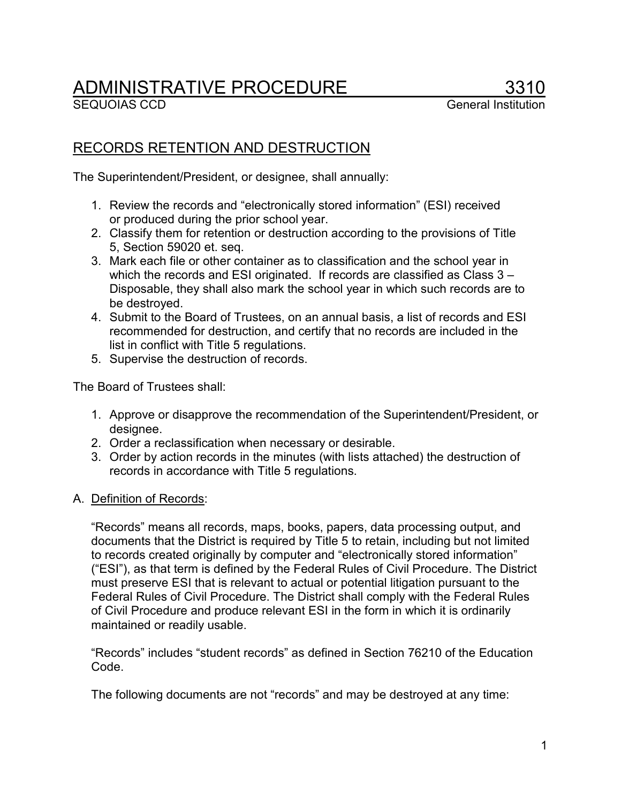# **ADMINISTRATIVE PROCEDURE**<br>SEQUOIAS CCD

## RECORDS RETENTION AND DESTRUCTION

The Superintendent/President, or designee, shall annually:

- 1. Review the records and "electronically stored information" (ESI) received or produced during the prior school year.
- 2. Classify them for retention or destruction according to the provisions of Title 5, Section 59020 et. seq.
- 3. Mark each file or other container as to classification and the school year in which the records and ESI originated. If records are classified as Class 3 -Disposable, they shall also mark the school year in which such records are to be destroyed.
- 4. Submit to the Board of Trustees, on an annual basis, a list of records and ESI recommended for destruction, and certify that no records are included in the list in conflict with Title 5 regulations.
- 5. Supervise the destruction of records.

The Board of Trustees shall:

- 1. Approve or disapprove the recommendation of the Superintendent/President, or designee.
- 2. Order a reclassification when necessary or desirable.
- 3. Order by action records in the minutes (with lists attached) the destruction of records in accordance with Title 5 regulations.
- A. Definition of Records:

"Records" means all records, maps, books, papers, data processing output, and documents that the District is required by Title 5 to retain, including but not limited to records created originally by computer and "electronically stored information" ("ESI"), as that term is defined by the Federal Rules of Civil Procedure. The District must preserve ESI that is relevant to actual or potential litigation pursuant to the Federal Rules of Civil Procedure. The District shall comply with the Federal Rules of Civil Procedure and produce relevant ESI in the form in which it is ordinarily maintained or readily usable.

"Records" includes "student records" as defined in Section 76210 of the Education Code.

The following documents are not "records" and may be destroyed at any time: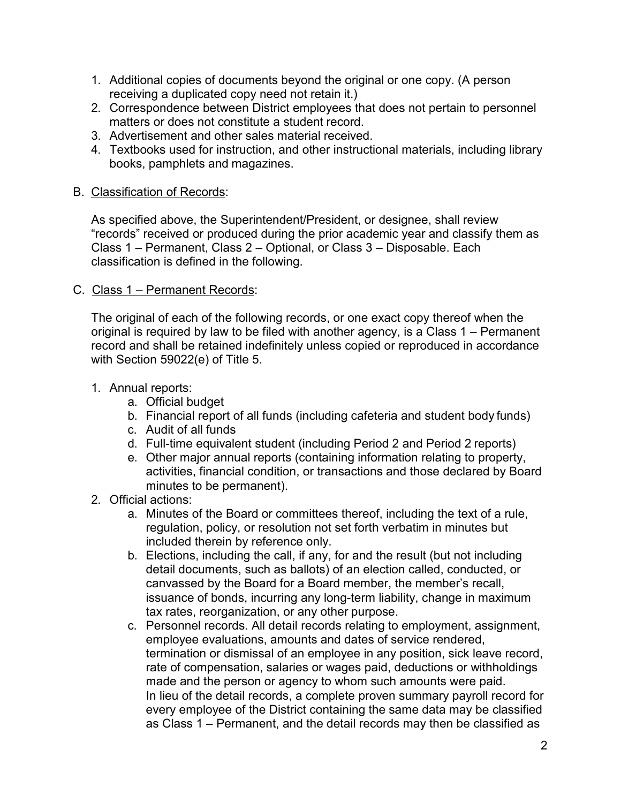- 1. Additional copies of documents beyond the original or one copy. (A person receiving a duplicated copy need not retain it.)
- 2. Correspondence between District employees that does not pertain to personnel matters or does not constitute a student record.
- 3. Advertisement and other sales material received.
- 4. Textbooks used for instruction, and other instructional materials, including library books, pamphlets and magazines.

### B. Classification of Records:

As specified above, the Superintendent/President, or designee, shall review "records" received or produced during the prior academic year and classify them as Class 1 – Permanent, Class 2 – Optional, or Class 3 – Disposable. Each classification is defined in the following.

### C. Class 1 – Permanent Records:

The original of each of the following records, or one exact copy thereof when the original is required by law to be filed with another agency, is a Class 1 – Permanent record and shall be retained indefinitely unless copied or reproduced in accordance with Section 59022(e) of Title 5.

#### 1. Annual reports:

- a. Official budget
- b. Financial report of all funds (including cafeteria and student body funds)
- c. Audit of all funds
- d. Full-time equivalent student (including Period 2 and Period 2 reports)
- e. Other major annual reports (containing information relating to property, activities, financial condition, or transactions and those declared by Board minutes to be permanent).
- 2. Official actions:
	- a. Minutes of the Board or committees thereof, including the text of a rule, regulation, policy, or resolution not set forth verbatim in minutes but included therein by reference only.
	- b. Elections, including the call, if any, for and the result (but not including detail documents, such as ballots) of an election called, conducted, or canvassed by the Board for a Board member, the member's recall, issuance of bonds, incurring any long-term liability, change in maximum tax rates, reorganization, or any other purpose.
	- c. Personnel records. All detail records relating to employment, assignment, employee evaluations, amounts and dates of service rendered, termination or dismissal of an employee in any position, sick leave record, rate of compensation, salaries or wages paid, deductions or withholdings made and the person or agency to whom such amounts were paid. In lieu of the detail records, a complete proven summary payroll record for every employee of the District containing the same data may be classified as Class 1 – Permanent, and the detail records may then be classified as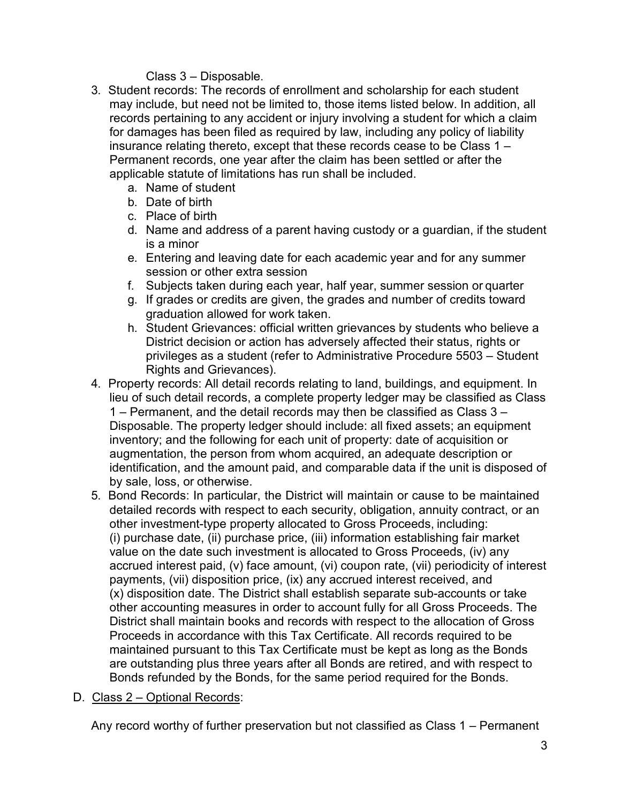Class 3 – Disposable.

- 3. Student records: The records of enrollment and scholarship for each student may include, but need not be limited to, those items listed below. In addition, all records pertaining to any accident or injury involving a student for which a claim for damages has been filed as required by law, including any policy of liability insurance relating thereto, except that these records cease to be Class 1 – Permanent records, one year after the claim has been settled or after the applicable statute of limitations has run shall be included.
	- a. Name of student
	- b. Date of birth
	- c. Place of birth
	- d. Name and address of a parent having custody or a guardian, if the student is a minor
	- e. Entering and leaving date for each academic year and for any summer session or other extra session
	- f. Subjects taken during each year, half year, summer session or quarter
	- g. If grades or credits are given, the grades and number of credits toward graduation allowed for work taken.
	- h. Student Grievances: official written grievances by students who believe a District decision or action has adversely affected their status, rights or privileges as a student (refer to Administrative Procedure 5503 – Student Rights and Grievances).
- 4. Property records: All detail records relating to land, buildings, and equipment. In lieu of such detail records, a complete property ledger may be classified as Class 1 – Permanent, and the detail records may then be classified as Class 3 – Disposable. The property ledger should include: all fixed assets; an equipment inventory; and the following for each unit of property: date of acquisition or augmentation, the person from whom acquired, an adequate description or identification, and the amount paid, and comparable data if the unit is disposed of by sale, loss, or otherwise.
- 5. Bond Records: In particular, the District will maintain or cause to be maintained detailed records with respect to each security, obligation, annuity contract, or an other investment-type property allocated to Gross Proceeds, including: (i) purchase date, (ii) purchase price, (iii) information establishing fair market value on the date such investment is allocated to Gross Proceeds, (iv) any accrued interest paid, (v) face amount, (vi) coupon rate, (vii) periodicity of interest payments, (vii) disposition price, (ix) any accrued interest received, and (x) disposition date. The District shall establish separate sub-accounts or take other accounting measures in order to account fully for all Gross Proceeds. The District shall maintain books and records with respect to the allocation of Gross Proceeds in accordance with this Tax Certificate. All records required to be maintained pursuant to this Tax Certificate must be kept as long as the Bonds are outstanding plus three years after all Bonds are retired, and with respect to Bonds refunded by the Bonds, for the same period required for the Bonds.

### D. Class 2 – Optional Records:

Any record worthy of further preservation but not classified as Class 1 – Permanent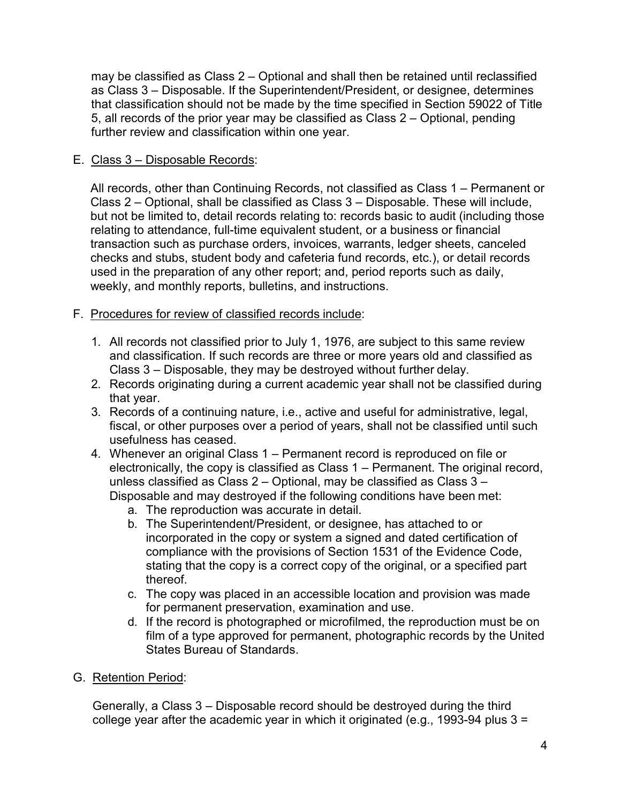may be classified as Class 2 – Optional and shall then be retained until reclassified as Class 3 – Disposable. If the Superintendent/President, or designee, determines that classification should not be made by the time specified in Section 59022 of Title 5, all records of the prior year may be classified as Class 2 – Optional, pending further review and classification within one year.

### E. Class 3 – Disposable Records:

All records, other than Continuing Records, not classified as Class 1 – Permanent or Class 2 – Optional, shall be classified as Class 3 – Disposable. These will include, but not be limited to, detail records relating to: records basic to audit (including those relating to attendance, full-time equivalent student, or a business or financial transaction such as purchase orders, invoices, warrants, ledger sheets, canceled checks and stubs, student body and cafeteria fund records, etc.), or detail records used in the preparation of any other report; and, period reports such as daily, weekly, and monthly reports, bulletins, and instructions.

- F. Procedures for review of classified records include:
	- 1. All records not classified prior to July 1, 1976, are subject to this same review and classification. If such records are three or more years old and classified as Class 3 – Disposable, they may be destroyed without further delay.
	- 2. Records originating during a current academic year shall not be classified during that year.
	- 3. Records of a continuing nature, i.e., active and useful for administrative, legal, fiscal, or other purposes over a period of years, shall not be classified until such usefulness has ceased.
	- 4. Whenever an original Class 1 Permanent record is reproduced on file or electronically, the copy is classified as Class 1 – Permanent. The original record, unless classified as Class 2 – Optional, may be classified as Class  $3 -$ Disposable and may destroyed if the following conditions have been met:
		- a. The reproduction was accurate in detail.
		- b. The Superintendent/President, or designee, has attached to or incorporated in the copy or system a signed and dated certification of compliance with the provisions of Section 1531 of the Evidence Code, stating that the copy is a correct copy of the original, or a specified part thereof.
		- c. The copy was placed in an accessible location and provision was made for permanent preservation, examination and use.
		- d. If the record is photographed or microfilmed, the reproduction must be on film of a type approved for permanent, photographic records by the United States Bureau of Standards.
- G. Retention Period:

Generally, a Class 3 – Disposable record should be destroyed during the third college year after the academic year in which it originated (e.g., 1993-94 plus  $3 =$